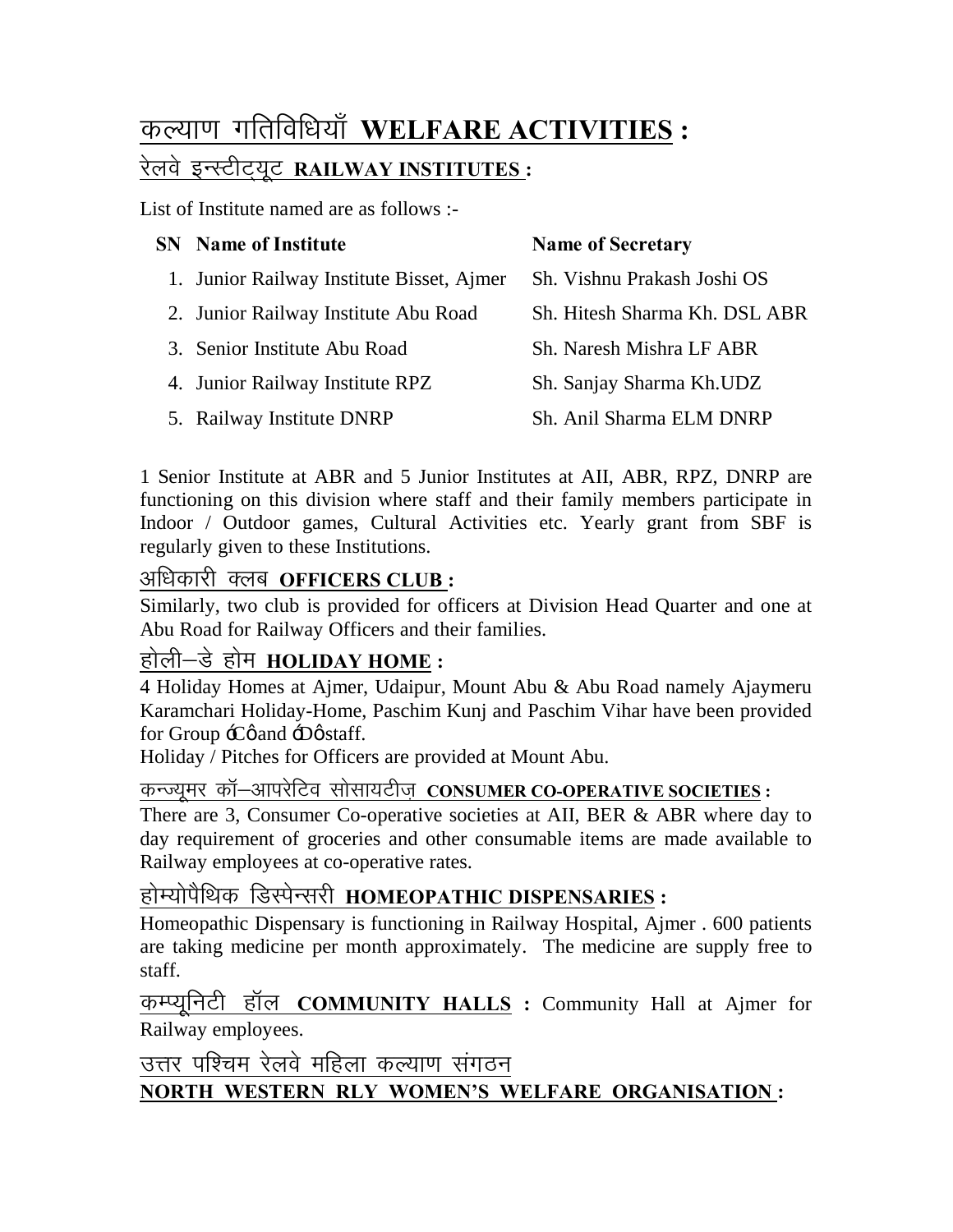# कल्याण गतिविधियाँ WELFARE ACTIVITIES : रेलवे इन्स्टीट्यूट RAILWAY INSTITUTES :

List of Institute named are as follows :-

|  | <b>SN</b> Name of Institute               | <b>Name of Secretary</b>      |
|--|-------------------------------------------|-------------------------------|
|  | 1. Junior Railway Institute Bisset, Ajmer | Sh. Vishnu Prakash Joshi OS   |
|  | 2. Junior Railway Institute Abu Road      | Sh. Hitesh Sharma Kh. DSL ABR |
|  | 3. Senior Institute Abu Road              | Sh. Naresh Mishra LF ABR      |
|  | 4. Junior Railway Institute RPZ           | Sh. Sanjay Sharma Kh.UDZ      |
|  | 5. Railway Institute DNRP                 | Sh. Anil Sharma ELM DNRP      |

1 Senior Institute at ABR and 5 Junior Institutes at AII, ABR, RPZ, DNRP are functioning on this division where staff and their family members participate in Indoor / Outdoor games, Cultural Activities etc. Yearly grant from SBF is regularly given to these Institutions.

#### अधिकारी क्लब **OFFICERS CLUB**:

Similarly, two club is provided for officers at Division Head Quarter and one at Abu Road for Railway Officers and their families.

### होली—डे होम **HOLIDAY HOME** :

4 Holiday Homes at Ajmer, Udaipur, Mount Abu & Abu Road namely Ajaymeru Karamchari Holiday-Home, Paschim Kunj and Paschim Vihar have been provided for Group  $\div C\phi$  and  $\div D\phi$  staff.

Holiday / Pitches for Officers are provided at Mount Abu.

dUT;wej dkW&vkijsfVo lk slk;Vht+ **CONSUMER CO-OPERATIVE SOCIETIES :**

There are 3, Consumer Co-operative societies at AII, BER & ABR where day to day requirement of groceries and other consumable items are made available to Railway employees at co-operative rates.

#### होम्योपैथिक डिस्पेन्सरी HOMEOPATHIC DISPENSARIES **:**

Homeopathic Dispensary is functioning in Railway Hospital, Ajmer . 600 patients are taking medicine per month approximately. The medicine are supply free to staff.

कम्प्यूनिटी हॉल **COMMUNITY HALLS** : Community Hall at Ajmer for Railway employees.

उत्तर पश्चिम रेलवे महिला कल्याण संगठन **NORTH WESTERN RLY WOMEN'S WELFARE ORGANISATION :**